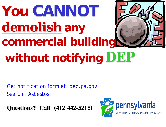# **You CANNOT demolish any commercial building without notifying DEP**

Get notification form at: dep.pa.gov Search: Asbestos

**Questions? Call (412 442-5215)**

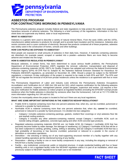

### **ASBESTOS PROGRAM FOR CONTRACTORS WORKING IN PENNSYLVANIA**

The Pennsylvania asbestos program includes federal and state regulations to help protect the public from exposure to hazardous amounts of airborne asbestos. The following is a brief summary of the regulations. Information in this fact sheet does not supersede any federal, state or local requirements.

#### **WHAT IS ASBESTOS?**

Asbestos is a generic term used to describe a variety of natural mineral fibers. From the early 1930s until the 1970s, manufacturers added asbestos to products for strength and to provide heat insulation and fire resistance. Asbestos also resists corrosion and is a poor conductor of electricity. Because few products contained all of these properties, asbestos was widely used in the construction of homes, schools and other buildings.

#### **HOW CAN PEOPLE BE EXPOSED TO ASBESTOS?**

Most people are exposed to small amounts of asbestos in their daily lives. However, if materials containing asbestos are disturbed—for example sawed, scraped or sanded into a powder—asbestos fibers are more likely to become airborne and inhaled into the lungs.

#### **HOW IS ASBESTOS REGULATED IN PENNSYLVANIA?**

Because asbestos, in certain forms, has been determined to cause serious health problems, the Pennsylvania Department of Environmental Protection (DEP) regulates the removal, collection, transportation and disposal of asbestos-containing materials (ACM). DEP's Air Quality Program has adopted and enforces the federal Environmental Protection Agency (EPA) 40 CFR Part 61 Subpart M, the Asbestos National Emission Standard for Hazardous Air Pollutants (NESHAP) regulations, as amended on November 20, 1990. Should a project be subject to the NESHAP regulations, a minimum 10-day notification of the project is required to be made to both EPA and DEP. The EPA and DEP do not regulate the removal of ACM from private residences unless the residence is an apartment with five or more units.

The Pennsylvania Department of Labor and Industry (L&I) enforces the Pennsylvania Asbestos Occupations Accreditation and Certification Act of 1990 (Act 194 and Act 161), which requires certification for the following asbestos occupations: contractor, inspector, management planner, project designer, supervisor and worker. L&I requires a fiveday prior notification for friable asbestos on indoor projects at regulated facilities (including the EPA/DEP exempt private residence when the friable asbestos is disturbed by someone other than the homeowner). Call L&I at 717-772-3396 for more information regarding Act 194 and Act 161.

Contact the municipality where the project is located to find out if there are any local regulations.

#### **WHAT ARE SOME IMPORTANT DEFINITIONS IN THE ASBESTOS NESHAP REGULATIONS?**

- Friable ACM is material containing more than one percent asbestos that, when dry, can be crumbled, pulverized or reduced to a powder by hand pressure.
- Nonfriable ACM is material containing more than one percent asbestos that, when dry, *cannot* be crumbled, pulverized or reduced to a powder by hand pressure. It is divided into two categories:
	- **-** Category I includes asbestos-containing packings, gaskets, resilient floor coverings or vinyl asbestos floor tile and asphalt roofing products.
	- **-** Category II includes any other asbestos-containing material, except Category I nonfriable ACM, such as transite siding shingles, galbestos, concrete-type piping and other ACM concrete-type products.
- Regulated asbestos-containing materials (RACM) are: (a) friable ACM; (b) Category I nonfriable ACM that has passively become friable by water damage, fire damage or weathering; (c) Category I nonfriable ACM that will be or has been subjected to sanding, grinding, cutting, drilling or abrading; and (d) Category II nonfriable ACM that has a high probability of becoming or has become crumbled, pulverized or reduced to a powder in the course of demolition or renovation operations.
- Demolition the wrecking or taking out of any load-supporting structural member of a facility together with any related handling operations **or** the intentional burning of any facility.
- Renovation altering a facility or one or more facility components in any way, including the stripping or removal of RACM from a facility component.
- Facility any institutional, commercial, public or industrial structure. A single residential building with four or fewer dwelling units is not a regulated facility under the NESHAP regulation unless it is part of an installation, which was previously subject to NESHAP regulations or its main use is not residential.

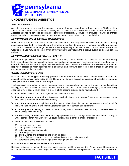

## **UNDERSTANDING ASBESTOS**

#### *WHAT IS ASBESTOS?*

Asbestos is a generic term used to describe a variety of natural mineral fibers. From the early 1930s until the 1970s, manufacturers used asbestos to strengthen products and to provide heat insulation and fire resistance. Asbestos also resists corrosion and is a poor conductor of electricity. Because few products contained all of these properties, asbestos was widely used in the construction of homes, schools, and other buildings.

#### *HOW CAN SOMEONE BE EXPOSED TO ASBESTOS?*

Most people are exposed to small amounts of asbestos in their daily lives. However, if materials containing asbestos are disturbed—for example sawed, scraped, or sanded into a powder—fibers are more likely to become airborne and inhaled into the lungs. Asbestos fibers are primarily a respiratory health hazard. Fibers that get into water or food also may be ingested, although they usually pass through the digestive system and do not cause a problem.

#### *HOW CAN ASBESTOS AFFECT HUMAN HEALTH?*

Studies of people who were exposed to asbestos for a long time in factories and shipyards show that breathing high levels of asbestos fibers can lead to an increased risk of lung cancer; mesothelioma, a rare but fatal form of cancer in the thin membrane lining of the chest and abdominal cavities; and asbestosis, a serious non-cancerous respiratory disease in which asbestos fibers aggravate and scar lung tissue. The risk of these health problems also increases for tobacco smokers.

#### *WHERE IS ASBESTOS FOUND?*

Until the 1970s, many types of building products and insulation materials used in homes contained asbestos, although most products made today do not. The only way to get a positive identification of asbestos is to analyze a sample using a special type of microscope.

If asbestos is discovered in the home, it does not pose a serious problem as long as it remains in good condition. Usually, it is best to leave asbestos material alone. Over time, it may become damaged, either from being disturbed or from age, at which point it is more likely to become airborne and a health hazard.

Common products in the home that might contain asbestos include:

- ➢ **Insulation around steam pipes, furnaces, and air ducts** Asbestos fibers may be released when insulation is damaged or removed improperly.
- ➢ **Vinyl floor covering** Vinyl tiles, the backing on vinyl sheet flooring and adhesives (mastic) used for installing floor covering, may become a problem if sanded or scraped during removal.
- ➢ **Roof shingles and siding** These products, if they contain asbestos, are not likely to release asbestos fibers unless sawed or drilled.
- ➢ **Soundproofing or decorative material** If sprayed on walls and ceilings, material that is loose, crumbly, or water-damaged may release fibers. So could material that is sanded, drilled, or scraped.
- ➢ Other products that may contain asbestos:
	- □ cement sheet, millboard;
	- $\boxtimes$  door gaskets in furnaces;
	- $\boxtimes$  patching and joint compounds;
	- $\boxtimes$  textured paints;
	- $\boxtimes$  artificial ashes and embers for gas-fired fireplaces;
	- $\boxtimes$  fireproof gloves, stove-top pads, ironing board covers, and hairdryers; and
	- $\boxtimes$  automobile brake pads and linings, clutch facings, and gaskets.

#### *HOW DOES PENNSYLVANIA REGULATE ASBESTOS?*

Because asbestos in certain forms can cause serious health problems, the Pennsylvania Department of Environmental Protection (DEP) regulates the removal, collection, transportation, and disposal of asbestos

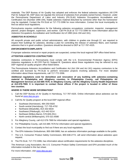materials. The DEP Bureau of Air Quality has adopted and enforces the federal asbestos regulations (40 CFR Part 61 Subpart M). DEP does not regulate the removal of asbestos from privately owned homes. However, under the Pennsylvania Department of Labor and Industry (PA DL&I) Asbestos Occupations Accreditation and Certification Act (Number 1990-194), friable asbestos material disturbed by someone other than the homeowner may be regulated. Contact the PA DL&I at 717-772-3396 for more information. Contact the local municipality to find out about local regulations.

Pennsylvania requires certifications for the following asbestos occupations: contractor, inspector, management planner, project designer, supervisor, and worker. Call PA DL&I at 717-772-3396 for more information about the Asbestos Occupations Accreditation and Certification Act of 1990 (Acts 194 and 161).

#### *ASBESTOS IN SCHOOLS*

All nonprofit private and public school administrators, with children in grades one through 12, are required to inspect their buildings for asbestos, develop a plan for controlling the release of asbestos fibers, and maintain asbestos that is in good condition. Questions should be directed to DEP at 717-787-4325.

#### *ENFORCEMENT/COMPLAINTS*

If improper asbestos removal or repair projects are suspected, contact the local regional DEP office listed below.

#### *ATTENTION ASBESTOS CONTRACTORS*

Asbestos contractors in Pennsylvania must comply with the U.S. Environmental Protection Agency (EPA) Asbestos regulations in 40 CFR Part 61 Subpart M. Questions about these regulations may be referred to any DEP regional air quality program office listed below.

The Pennsylvania Asbestos Accreditation and Certification Act (Act 194 and Act 161) requires contractors to be certified and licensed by PA DL&I to perform renovation projects involving asbestos. For more detailed information about these requirements, call 717-772-3396.

**Additional regulations exist for demolition and renovation of any building with asbestos-containing material in Philadelphia and Allegheny counties. In Philadelphia County, call Philadelphia Air Management Services at 215-685-7576. In Allegheny County, call the Allegheny County Health Department at 412-578-7969. It is important to contact these offices if the project is located in either of these two counties.**

#### *WHERE IS THERE MORE INFORMATION?*

- 1. Call the DEP Bureau of Air Quality in Harrisburg, 717-787-4325. Online information about asbestos can be found at [www.dep.pa.gov.](http://www.dep.pa.gov/)
- 2. Call the Air Quality program at the local DEP regional office:
	- Southeast (Norristown), 484-250-5920
	- South-central (Harrisburg), 717-705-4702
	- Northwest (Meadville), 814-332-6634
	- Southwest (Pittsburgh), 412-442-5214
	- Northeast (Wilkes-Barre), 570-826-2511
	- North-central (Williamsport), 570-321-6580
- 3. For Allegheny County, call 412-578-7969 for information and special regulations.
- 4. For Philadelphia County, call 215-685-7576 for information and special regulations.
- 5. Contact the local municipality to find out if there are any local regulations.
- 6. The EPA Asbestos Ombudsman, 800-368-5888, has an asbestos information package available to the public.
- 7. The U.S. Consumer Product Safety Commission, 800-638-2772, will send information about asbestos upon request.
- 8. The PA DL&I, 717-772-3396, has information about certification requirements for the asbestos disciplines.

The American Lung Association, the U.S. Consumer Product Safety Commission and EPA provided much of the information included in this fact sheet.

For more information, visit [www.dep.pa.gov.](http://www.dep.pa.gov/)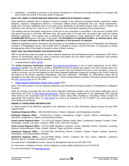• Installation – a building or structure or any group of buildings or structures at a single demolition or renovation site that is under the control of the same owner or operator.

#### **WHAT DO I NEED TO KNOW BEFORE REMOVING ASBESTOS IN PENNSYLVANIA?**

State regulations stipulate that it is illegal for anyone to engage in any asbestos occupation (worker, supervisor, project designer, inspector, management planner or contractor) without proper certification from L&I. These requirements, along with a five-day notification prior to the start of any abatement or demolition project where ACM is present, are outlined in Acts 194 and 161. Call L&I at 717-772-3396 for more information regarding these requirements.

The building must be thoroughly inspected for ACM prior to any renovation or demolition. If the amount of friable ACM that will be removed is more than 260 linear feet, 160 square feet or 35 cubic feet, the project falls under the federal NESHAP regulations. This requires that a notification be postmarked or hand delivered to DEP and EPA at least *10 WORKING DAYS* prior to the start of the project. **All demolitions of regulated facilities, as defined above, also require a 10-day notification to DEP and EPA, regardless of the presence of asbestos.**

Additional regulations exist for demolition and renovation of any building containing ACM in Philadelphia and Allegheny Counties. In Philadelphia County, call 215-685-7576. In Allegheny County, call 412-578-8133. It is important to contact the appropriate office if the project is located in either of these counties.

#### **WHAT ARE THE PROCEDURES FOR NOTIFICATION?**

DEP is transitioning away from paper to online asbestos abatement and demolition/renovation notifications. DEP held a webinar on Wednesday, March 14, 2018 to introduce and explain the new online system. A recording of the webinar can be accessed from the following hyperlink:

• Training Webinar [\(MP4\)](http://files.dep.state.pa.us/Air/AirQuality/AQPortalFiles/Business%20Topics/Asbestos/Asbestos%20Notification%20Electronic%20Submission%20Webinar-20180314%201704-1.mp4) [\(WMV\)](http://files.dep.state.pa.us/Air/AirQuality/AQPortalFiles/Business%20Topics/Asbestos/Asbestos%20Notification%20Electronic%20Submission%20Webinar-20180314%201704-1.wmv)

The **Online Asbestos Notification System** [\(www.dep.pa.gov/asbestos\)](http://www.dep.pa.gov/asbestos) is one of many applications on the DEP's [GreenPort](https://www.depgreenport.state.pa.us/) website. You will need to create a GreenPort account to access the system if you don't already have one. Regardless of how many DEP systems you want to access, only one GreenPort account is ever necessary. Once you create an account, you can self-register for the Online Asbestos Notification System by clicking on the "Enroll" button at the bottom of the screen, selecting "ePermitting," and then "Asbestos." Thereafter, an "ePermitting" button will be available on the right side of your application's screen. Those having problems creating a Greenport account should call the [DEP Service Desk](https://www.depgreenport.state.pa.us/pls/apex/f?p=ecomm:contactus) at 717-787-4357.

• [Online Asbestos Notification System User's](http://files.dep.state.pa.us/Air/AirQuality/AQPortalFiles/Business%20Topics/Asbestos/ePermit_Operator_UserGuide.pdf) Guide (PDF)

Note: This online system is not for asbestos abatement and demolition/renovation projects in Philadelphia or Allegheny Counties.

While we strongly encourage the use of the Online Asbestos Notification System, links to the paper notification and its instructions are found at [www.dep.pa.gov/asbestos.](http://www.dep.pa.gov/asbestos) Please mail paper notifications to the appropriate DEP regional office found in the instructions and not the Rachel Carson State Office Building in Harrisburg. Please contact the appropriate DEP regional office or [Craig Evans](mailto:craevans@pa.gov) by e-mail or by telephone at 717-772-3995 if you have questions or need additional information.

#### **WHERE IS THERE MORE INFORMATION?**

To obtain copies of the NESHAP regulations, the notification form or other information, please contact the local DEP regional office:

**Southeast Regional Office** – 484-250-5920 (Bucks, Chester, Delaware, and Montgomery counties)

**Northeast Regional Office** – 570-826-2511 (Carbon, Lackawanna, Lehigh, Luzerne, Monroe, Northampton, Pike, Schuylkill, Susquehanna, Wayne, and Wyoming counties)

**South-central Regional Office** – 717-705-4702 (Adams, Bedford, Berks, Blair, Cumberland, Dauphin, Franklin, Fulton, Huntingdon, Juniata, Lancaster, Lebanon, Mifflin, Perry, and York counties)

**North-central Regional Office** – 570-321-6580 (Bradford, Cameron, Centre, Clearfield, Clinton, Columbia, Lycoming, Montour, Northumberland, Potter, Snyder, Sullivan, Tioga, and Union counties)

**Southwest Regional Office** – 412-442-4000 (Armstrong, Beaver, Cambria, Fayette, Greene, Indiana, Somerset, Washington, and Westmoreland counties)

**Northwest Regional Office** – 814-332-6940 (Butler, Clarion, Crawford, Elk, Erie, Forest, Jefferson, Lawrence, McKean, Mercer, Venango, and Warren counties)

For work done in Philadelphia County, contact Air Management Services at 215-685-7576.

For work done in Allegheny County, contact Allegheny County Health Department at 412-578-8133.

For more information, visit [www.dep.pa.g](http://www.dep.pa./)ov.